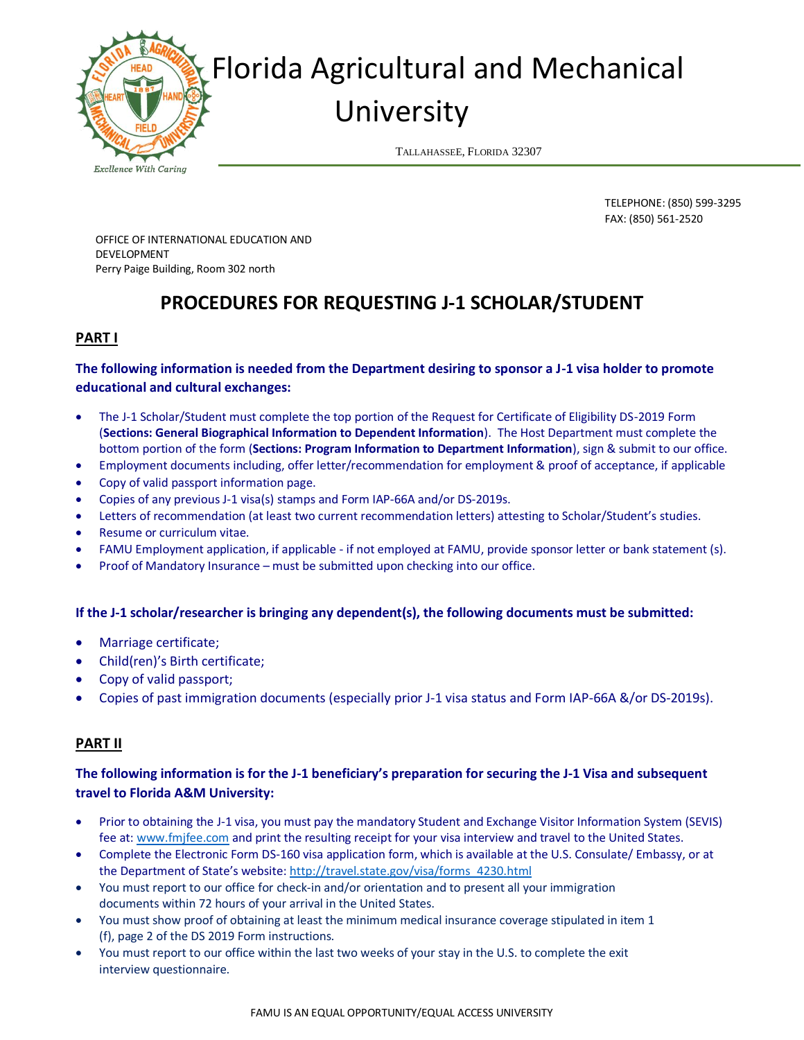

# Florida Agricultural and Mechanical University

TALLAHASSEE, FLORIDA 32307

**Excllence With Caring** 

TELEPHONE: (850) 599-3295 FAX: (850) 561-2520

OFFICE OF INTERNATIONAL EDUCATION AND DEVELOPMENT Perry Paige Building, Room 302 north

## **PROCEDURES FOR REQUESTING J-1 SCHOLAR/STUDENT**

#### **PART I**

#### **The following information is needed from the Department desiring to sponsor a J-1 visa holder to promote educational and cultural exchanges:**

- The J-1 Scholar/Student must complete the top portion of the Request for Certificate of Eligibility DS-2019 Form (**Sections: General Biographical Information to Dependent Information**). The Host Department must complete the bottom portion of the form (**Sections: Program Information to Department Information**), sign & submit to our office.
- Employment documents including, offer letter/recommendation for employment & proof of acceptance, if applicable
- Copy of valid passport information page.
- Copies of any previous J-1 visa(s) stamps and Form IAP-66A and/or DS-2019s.
- Letters of recommendation (at least two current recommendation letters) attesting to Scholar/Student's studies.
- Resume or curriculum vitae.
- FAMU Employment application, if applicable if not employed at FAMU, provide sponsor letter or bank statement (s).
- Proof of Mandatory Insurance must be submitted upon checking into our office.

#### **If the J-1 scholar/researcher is bringing any dependent(s), the following documents must be submitted:**

- Marriage certificate;
- Child(ren)'s Birth certificate;
- Copy of valid passport;
- Copies of past immigration documents (especially prior J-1 visa status and Form IAP-66A &/or DS-2019s).

### **PART II**

### **The following information is for the J-1 beneficiary's preparation for securing the J-1 Visa and subsequent travel to Florida A&M University:**

- Prior to obtaining the J-1 visa, you must pay the mandatory Student and Exchange Visitor Information System (SEVIS) fee at: [www.fmjfee.com](http://www.fmjfee.com/) and print the resulting receipt for your visa interview and travel to the United States.
- Complete the Electronic Form DS-160 visa application form, which is available at the U.S. Consulate/ Embassy, or at the Department of State's website: [http://travel.state.gov/visa/forms\\_4230.html](http://travel.state.gov/visa/forms_4230.html)
- You must report to our office for check-in and/or orientation and to present all your immigration documents within 72 hours of your arrival in the United States.
- You must show proof of obtaining at least the minimum medical insurance coverage stipulated in item 1 (f), page 2 of the DS 2019 Form instructions.
- You must report to our office within the last two weeks of your stay in the U.S. to complete the exit interview questionnaire.